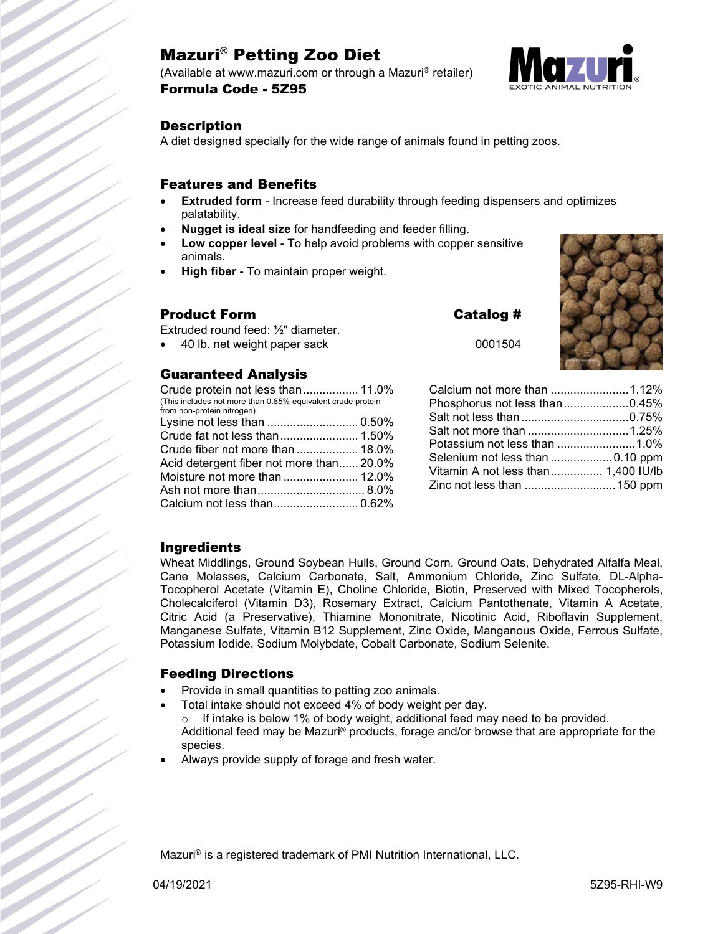# Mazuri® Petting Zoo Diet

(Available at www.mazuri.com or through a Mazuri® retailer) Formula Code - 5Z95



#### **Description**

A diet designed specially for the wide range of animals found in petting zoos.

#### Features and Benefits

- **Extruded form** Increase feed durability through feeding dispensers and optimizes palatability.
- **Nugget is ideal size** for handfeeding and feeder filling.
- **Low copper level** To help avoid problems with copper sensitive animals.
- **High fiber** To maintain proper weight.

#### Product Form Catalog #

Extruded round feed: ½" diameter.

40 lb. net weight paper sack

#### Guaranteed Analysis

Crude protein not less than................. 11.0% (This includes not more than 0.85% equivalent crude protein from non-protein nitrogen) Lysine not less than ............................ 0.50% Crude fat not less than........................ 1.50% Crude fiber not more than ................... 18.0% Acid detergent fiber not more than...... 20.0% Moisture not more than ....................... 12.0% Ash not more than................................. 8.0% Calcium not less than.......................... 0.62%

| 1.12%<br>than |
|---------------|

**AND X** 

| Calcium not more than 1.12%         |  |
|-------------------------------------|--|
| Phosphorus not less than0.45%       |  |
|                                     |  |
|                                     |  |
| Potassium not less than 1.0%        |  |
| Selenium not less than 0.10 ppm     |  |
| Vitamin A not less than 1,400 IU/lb |  |
| Zinc not less than  150 ppm         |  |
|                                     |  |

#### **Ingredients**

Wheat Middlings, Ground Soybean Hulls, Ground Corn, Ground Oats, Dehydrated Alfalfa Meal, Cane Molasses, Calcium Carbonate, Salt, Ammonium Chloride, Zinc Sulfate, DL-Alpha-Tocopherol Acetate (Vitamin E), Choline Chloride, Biotin, Preserved with Mixed Tocopherols, Cholecalciferol (Vitamin D3), Rosemary Extract, Calcium Pantothenate, Vitamin A Acetate, Citric Acid (a Preservative), Thiamine Mononitrate, Nicotinic Acid, Riboflavin Supplement, Manganese Sulfate, Vitamin B12 Supplement, Zinc Oxide, Manganous Oxide, Ferrous Sulfate, Potassium Iodide, Sodium Molybdate, Cobalt Carbonate, Sodium Selenite.

#### Feeding Directions

- Provide in small quantities to petting zoo animals.
- Total intake should not exceed 4% of body weight per day.
- $\circ$  If intake is below 1% of body weight, additional feed may need to be provided. Additional feed may be Mazuri® products, forage and/or browse that are appropriate for the species.
- Always provide supply of forage and fresh water.

Mazuri® is a registered trademark of PMI Nutrition International, LLC.